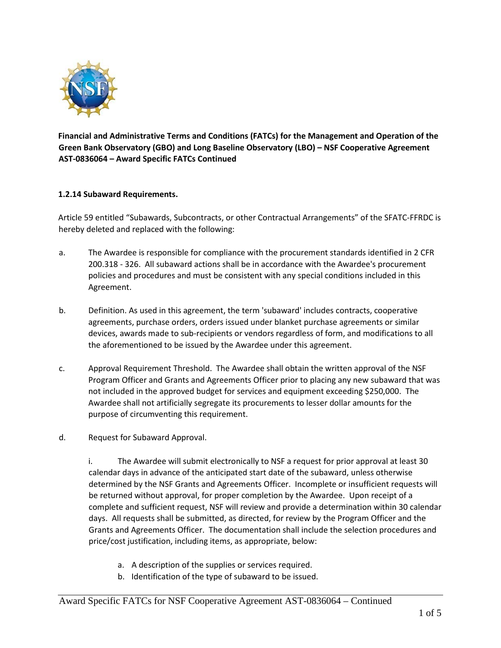

**Financial and Administrative Terms and Conditions (FATCs) for the Management and Operation of the Green Bank Observatory (GBO) and Long Baseline Observatory (LBO) – NSF Cooperative Agreement AST-0836064 – Award Specific FATCs Continued**

#### **1.2.14 Subaward Requirements.**

Article 59 entitled "Subawards, Subcontracts, or other Contractual Arrangements" of the SFATC-FFRDC is hereby deleted and replaced with the following:

- a. The Awardee is responsible for compliance with the procurement standards identified in 2 CFR 200.318 - 326. All subaward actions shall be in accordance with the Awardee's procurement policies and procedures and must be consistent with any special conditions included in this Agreement.
- b. Definition. As used in this agreement, the term 'subaward' includes contracts, cooperative agreements, purchase orders, orders issued under blanket purchase agreements or similar devices, awards made to sub-recipients or vendors regardless of form, and modifications to all the aforementioned to be issued by the Awardee under this agreement.
- c. Approval Requirement Threshold. The Awardee shall obtain the written approval of the NSF Program Officer and Grants and Agreements Officer prior to placing any new subaward that was not included in the approved budget for services and equipment exceeding \$250,000. The Awardee shall not artificially segregate its procurements to lesser dollar amounts for the purpose of circumventing this requirement.
- d. Request for Subaward Approval.

i. The Awardee will submit electronically to NSF a request for prior approval at least 30 calendar days in advance of the anticipated start date of the subaward, unless otherwise determined by the NSF Grants and Agreements Officer. Incomplete or insufficient requests will be returned without approval, for proper completion by the Awardee. Upon receipt of a complete and sufficient request, NSF will review and provide a determination within 30 calendar days. All requests shall be submitted, as directed, for review by the Program Officer and the Grants and Agreements Officer. The documentation shall include the selection procedures and price/cost justification, including items, as appropriate, below:

- a. A description of the supplies or services required.
- b. Identification of the type of subaward to be issued.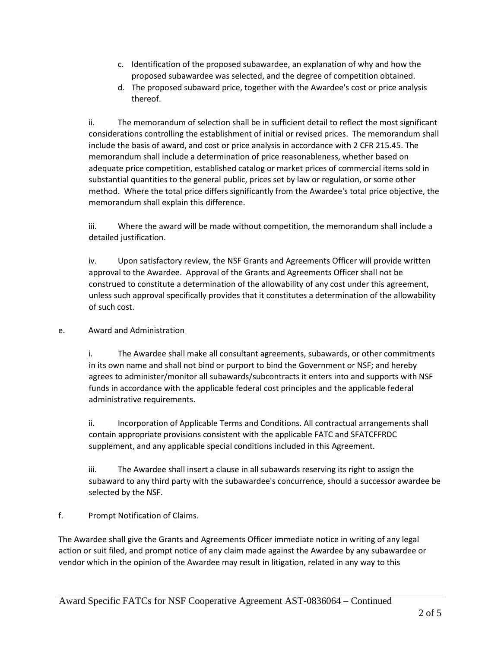- c. Identification of the proposed subawardee, an explanation of why and how the proposed subawardee was selected, and the degree of competition obtained.
- d. The proposed subaward price, together with the Awardee's cost or price analysis thereof.

ii. The memorandum of selection shall be in sufficient detail to reflect the most significant considerations controlling the establishment of initial or revised prices. The memorandum shall include the basis of award, and cost or price analysis in accordance with 2 CFR 215.45. The memorandum shall include a determination of price reasonableness, whether based on adequate price competition, established catalog or market prices of commercial items sold in substantial quantities to the general public, prices set by law or regulation, or some other method. Where the total price differs significantly from the Awardee's total price objective, the memorandum shall explain this difference.

iii. Where the award will be made without competition, the memorandum shall include a detailed justification.

iv. Upon satisfactory review, the NSF Grants and Agreements Officer will provide written approval to the Awardee. Approval of the Grants and Agreements Officer shall not be construed to constitute a determination of the allowability of any cost under this agreement, unless such approval specifically provides that it constitutes a determination of the allowability of such cost.

## e. Award and Administration

i. The Awardee shall make all consultant agreements, subawards, or other commitments in its own name and shall not bind or purport to bind the Government or NSF; and hereby agrees to administer/monitor all subawards/subcontracts it enters into and supports with NSF funds in accordance with the applicable federal cost principles and the applicable federal administrative requirements.

ii. Incorporation of Applicable Terms and Conditions. All contractual arrangements shall contain appropriate provisions consistent with the applicable FATC and SFATCFFRDC supplement, and any applicable special conditions included in this Agreement.

iii. The Awardee shall insert a clause in all subawards reserving its right to assign the subaward to any third party with the subawardee's concurrence, should a successor awardee be selected by the NSF.

## f. Prompt Notification of Claims.

The Awardee shall give the Grants and Agreements Officer immediate notice in writing of any legal action or suit filed, and prompt notice of any claim made against the Awardee by any subawardee or vendor which in the opinion of the Awardee may result in litigation, related in any way to this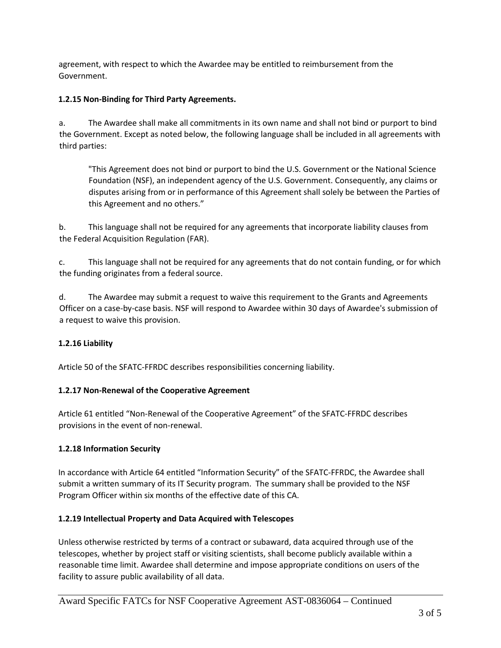agreement, with respect to which the Awardee may be entitled to reimbursement from the Government.

### **1.2.15 Non-Binding for Third Party Agreements.**

a. The Awardee shall make all commitments in its own name and shall not bind or purport to bind the Government. Except as noted below, the following language shall be included in all agreements with third parties:

"This Agreement does not bind or purport to bind the U.S. Government or the National Science Foundation (NSF), an independent agency of the U.S. Government. Consequently, any claims or disputes arising from or in performance of this Agreement shall solely be between the Parties of this Agreement and no others."

b. This language shall not be required for any agreements that incorporate liability clauses from the Federal Acquisition Regulation (FAR).

c. This language shall not be required for any agreements that do not contain funding, or for which the funding originates from a federal source.

d. The Awardee may submit a request to waive this requirement to the Grants and Agreements Officer on a case-by-case basis. NSF will respond to Awardee within 30 days of Awardee's submission of a request to waive this provision.

## **1.2.16 Liability**

Article 50 of the SFATC-FFRDC describes responsibilities concerning liability.

## **1.2.17 Non-Renewal of the Cooperative Agreement**

Article 61 entitled "Non-Renewal of the Cooperative Agreement" of the SFATC-FFRDC describes provisions in the event of non-renewal.

#### **1.2.18 Information Security**

In accordance with Article 64 entitled "Information Security" of the SFATC-FFRDC, the Awardee shall submit a written summary of its IT Security program. The summary shall be provided to the NSF Program Officer within six months of the effective date of this CA.

#### **1.2.19 Intellectual Property and Data Acquired with Telescopes**

Unless otherwise restricted by terms of a contract or subaward, data acquired through use of the telescopes, whether by project staff or visiting scientists, shall become publicly available within a reasonable time limit. Awardee shall determine and impose appropriate conditions on users of the facility to assure public availability of all data.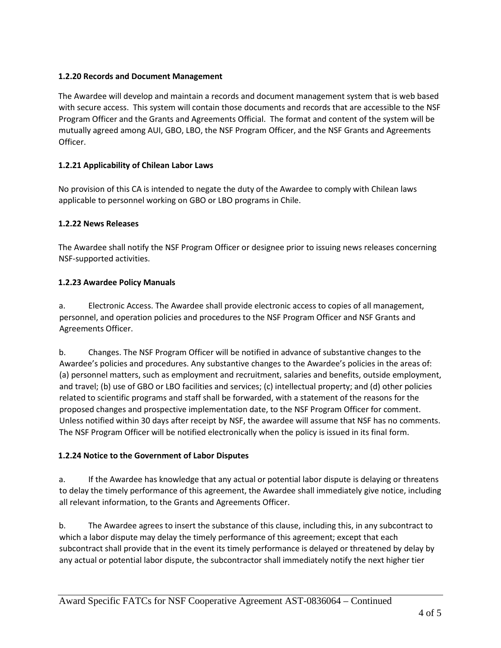### **1.2.20 Records and Document Management**

The Awardee will develop and maintain a records and document management system that is web based with secure access. This system will contain those documents and records that are accessible to the NSF Program Officer and the Grants and Agreements Official. The format and content of the system will be mutually agreed among AUI, GBO, LBO, the NSF Program Officer, and the NSF Grants and Agreements Officer.

### **1.2.21 Applicability of Chilean Labor Laws**

No provision of this CA is intended to negate the duty of the Awardee to comply with Chilean laws applicable to personnel working on GBO or LBO programs in Chile.

### **1.2.22 News Releases**

The Awardee shall notify the NSF Program Officer or designee prior to issuing news releases concerning NSF-supported activities.

### **1.2.23 Awardee Policy Manuals**

a. Electronic Access. The Awardee shall provide electronic access to copies of all management, personnel, and operation policies and procedures to the NSF Program Officer and NSF Grants and Agreements Officer.

b. Changes. The NSF Program Officer will be notified in advance of substantive changes to the Awardee's policies and procedures. Any substantive changes to the Awardee's policies in the areas of: (a) personnel matters, such as employment and recruitment, salaries and benefits, outside employment, and travel; (b) use of GBO or LBO facilities and services; (c) intellectual property; and (d) other policies related to scientific programs and staff shall be forwarded, with a statement of the reasons for the proposed changes and prospective implementation date, to the NSF Program Officer for comment. Unless notified within 30 days after receipt by NSF, the awardee will assume that NSF has no comments. The NSF Program Officer will be notified electronically when the policy is issued in its final form.

## **1.2.24 Notice to the Government of Labor Disputes**

a. If the Awardee has knowledge that any actual or potential labor dispute is delaying or threatens to delay the timely performance of this agreement, the Awardee shall immediately give notice, including all relevant information, to the Grants and Agreements Officer.

b. The Awardee agrees to insert the substance of this clause, including this, in any subcontract to which a labor dispute may delay the timely performance of this agreement; except that each subcontract shall provide that in the event its timely performance is delayed or threatened by delay by any actual or potential labor dispute, the subcontractor shall immediately notify the next higher tier